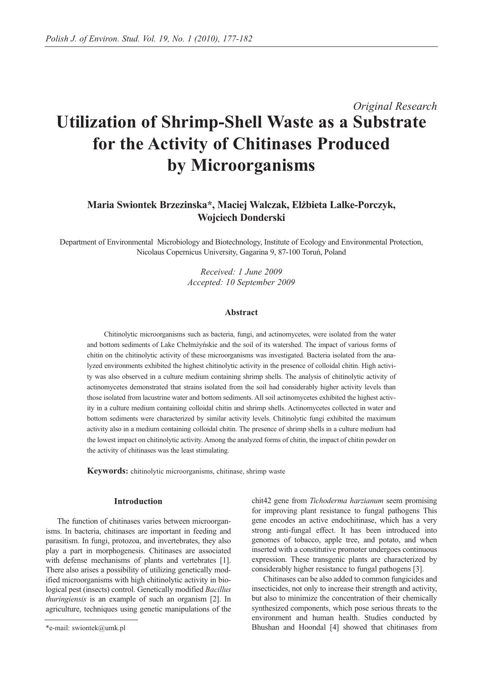# *Original Research* **Utilization of Shrimp-Shell Waste as a Substrate for the Activity of Chitinases Produced by Microorganisms**

# **Maria Swiontek Brzezinska\*, Maciej Walczak, Elżbieta Lalke-Porczyk, Wojciech Donderski**

Department of Environmental Microbiology and Biotechnology, Institute of Ecology and Environmental Protection, Nicolaus Copernicus University, Gagarina 9, 87-100 Toruń, Poland

> *Received: 1 June 2009 Accepted: 10 September 2009*

## **Abstract**

Chitinolytic microorganisms such as bacteria, fungi, and actinomycetes, were isolated from the water and bottom sediments of Lake Chełmżyńskie and the soil of its watershed. The impact of various forms of chitin on the chitinolytic activity of these microorganisms was investigated. Bacteria isolated from the analyzed environments exhibited the highest chitinolytic activity in the presence of colloidal chitin. High activity was also observed in a culture medium containing shrimp shells. The analysis of chitinolytic activity of actinomycetes demonstrated that strains isolated from the soil had considerably higher activity levels than those isolated from lacustrine water and bottom sediments. All soil actinomycetes exhibited the highest activity in a culture medium containing colloidal chitin and shrimp shells. Actinomycetes collected in water and bottom sediments were characterized by similar activity levels. Chitinolytic fungi exhibited the maximum activity also in a medium containing colloidal chitin. The presence of shrimp shells in a culture medium had the lowest impact on chitinolytic activity. Among the analyzed forms of chitin, the impact of chitin powder on the activity of chitinases was the least stimulating.

**Keywords:** chitinolytic microorganisms, chitinase, shrimp waste

# **Introduction**

The function of chitinases varies between microorganisms. In bacteria, chitinases are important in feeding and parasitism. In fungi, protozoa, and invertebrates, they also play a part in morphogenesis. Chitinases are associated with defense mechanisms of plants and vertebrates [1]. There also arises a possibility of utilizing genetically modified microorganisms with high chitinolytic activity in biological pest (insects) control. Genetically modified *Bacillus thuringiensis* is an example of such an organism [2]. In agriculture, techniques using genetic manipulations of the chit42 gene from *Tichoderma harzianum* seem promising for improving plant resistance to fungal pathogens This gene encodes an active endochitinase, which has a very strong anti-fungal effect. It has been introduced into genomes of tobacco, apple tree, and potato, and when inserted with a constitutive promoter undergoes continuous expression. These transgenic plants are characterized by considerably higher resistance to fungal pathogens [3].

Chitinases can be also added to common fungicides and insecticides, not only to increase their strength and activity, but also to minimize the concentration of their chemically synthesized components, which pose serious threats to the environment and human health. Studies conducted by Bhushan and Hoondal [4] showed that chitinases from

<sup>\*</sup>e-mail: swiontek@umk.pl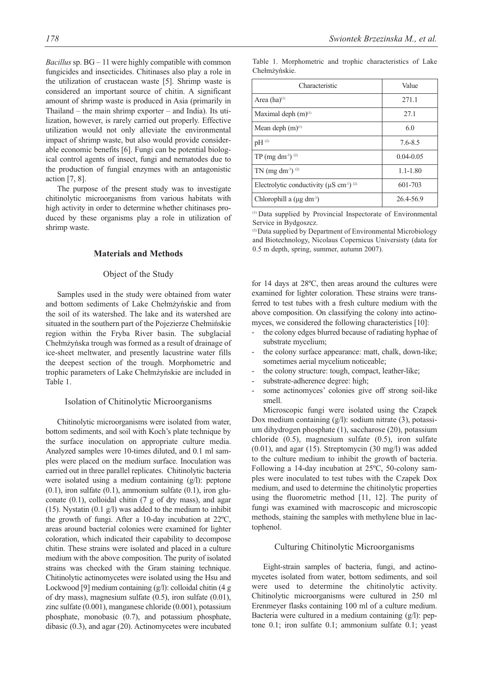*Bacillus*sp. BG – 11 were highly compatible with common fungicides and insecticides. Chitinases also play a role in the utilization of crustacean waste [5]. Shrimp waste is considered an important source of chitin. A significant amount of shrimp waste is produced in Asia (primarily in Thailand – the main shrimp exporter – and India). Its utilization, however, is rarely carried out properly. Effective utilization would not only alleviate the environmental impact of shrimp waste, but also would provide considerable economic benefits [6]. Fungi can be potential biological control agents of insect, fungi and nematodes due to the production of fungial enzymes with an antagonistic action [7, 8].

The purpose of the present study was to investigate chitinolytic microorganisms from various habitats with high activity in order to determine whether chitinases produced by these organisms play a role in utilization of shrimp waste.

#### **Materials and Methods**

# Object of the Study

Samples used in the study were obtained from water and bottom sediments of Lake Chełmżyńskie and from the soil of its watershed. The lake and its watershed are situated in the southern part of the Pojezierze Chełmińskie region within the Fryba River basin. The subglacial Chełmżyńska trough was formed as a result of drainage of ice-sheet meltwater, and presently lacustrine water fills the deepest section of the trough. Morphometric and trophic parameters of Lake Chełmżyńskie are included in Table 1.

#### Isolation of Chitinolytic Microorganisms

Chitinolytic microorganisms were isolated from water, bottom sediments, and soil with Koch's plate technique by the surface inoculation on appropriate culture media. Analyzed samples were 10-times diluted, and 0.1 ml samples were placed on the medium surface. Inoculation was carried out in three parallel replicates. Chitinolytic bacteria were isolated using a medium containing (g/l): peptone  $(0.1)$ , iron sulfate  $(0.1)$ , ammonium sulfate  $(0.1)$ , iron gluconate (0.1), colloidal chitin (7 g of dry mass), and agar (15). Nystatin (0.1 g/l) was added to the medium to inhibit the growth of fungi. After a 10-day incubation at 22ºC, areas around bacterial colonies were examined for lighter coloration, which indicated their capability to decompose chitin. These strains were isolated and placed in a culture medium with the above composition. The purity of isolated strains was checked with the Gram staining technique. Chitinolytic actinomycetes were isolated using the Hsu and Lockwood [9] medium containing (g/l): colloidal chitin (4 g of dry mass), magnesium sulfate (0.5), iron sulfate (0.01), zinc sulfate (0.001), manganese chloride (0.001), potassium phosphate, monobasic (0.7), and potassium phosphate, dibasic (0.3), and agar (20). Actinomycetes were incubated

Table 1. Morphometric and trophic characteristics of Lake Chełmżyńskie.

| Characteristic                                                        | Value         |
|-----------------------------------------------------------------------|---------------|
| Area $(ha)^{(1)}$                                                     | 271.1         |
| Maximal deph $(m)^{(1)}$                                              | 27.1          |
| Mean deph $(m)^{(1)}$                                                 | 6.0           |
| $pH^{(2)}$                                                            | 7.6-8.5       |
| $TP$ (mg dm <sup>-3</sup> ) <sup>(2)</sup>                            | $0.04 - 0.05$ |
| $TN$ (mg dm <sup>-3</sup> ) <sup>(2)</sup>                            | $1.1 - 1.80$  |
| Electrolytic conductivity ( $\mu$ S cm <sup>-1</sup> ) <sup>(2)</sup> | 601-703       |
| Chlorophill a $(\mu g dm^3)$                                          | 26.4-56.9     |

(1) Data supplied by Provincial Inspectorate of Environmental Service in Bydgoszcz.

(2) Data supplied by Department of Environmental Microbiology and Biotechnology, Nicolaus Copernicus Universisty (data for 0.5 m depth, spring, summer, autumn 2007).

for 14 days at 28ºC, then areas around the cultures were examined for lighter coloration. These strains were transferred to test tubes with a fresh culture medium with the above composition. On classifying the colony into actinomyces, we considered the following characteristics [10]:

- the colony edges blurred because of radiating hyphae of substrate mycelium;
- the colony surface appearance: matt, chalk, down-like; sometimes aerial mycelium noticeable;
- the colony structure: tough, compact, leather-like;
- substrate-adherence degree: high;
- some actinomyces' colonies give off strong soil-like smell.

Microscopic fungi were isolated using the Czapek Dox medium containing (g/l): sodium nitrate (3), potassium dihydrogen phosphate (1), saccharose (20), potassium chloride (0.5), magnesium sulfate (0.5), iron sulfate (0.01), and agar (15). Streptomycin (30 mg/l) was added to the culture medium to inhibit the growth of bacteria. Following a 14-day incubation at 25ºC, 50-colony samples were inoculated to test tubes with the Czapek Dox medium, and used to determine the chitinolytic properties using the fluorometric method [11, 12]. The purity of fungi was examined with macroscopic and microscopic methods, staining the samples with methylene blue in lactophenol.

#### Culturing Chitinolytic Microorganisms

Eight-strain samples of bacteria, fungi, and actinomycetes isolated from water, bottom sediments, and soil were used to determine the chitinolytic activity. Chitinolytic microorganisms were cultured in 250 ml Erenmeyer flasks containing 100 ml of a culture medium. Bacteria were cultured in a medium containing (g/l): peptone 0.1; iron sulfate 0.1; ammonium sulfate 0.1; yeast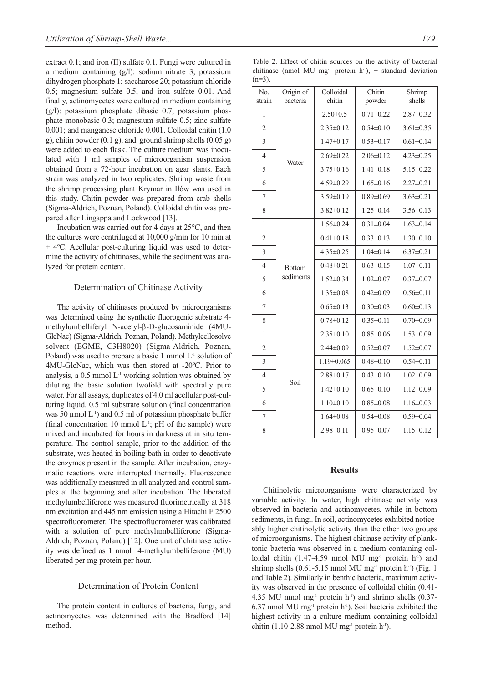extract 0.1; and iron (II) sulfate 0.1. Fungi were cultured in a medium containing (g/l): sodium nitrate 3; potassium dihydrogen phosphate 1; saccharose 20; potassium chloride 0.5; magnesium sulfate 0.5; and iron sulfate 0.01. And finally, actinomycetes were cultured in medium containing  $(g/l)$ : potassium phosphate dibasic 0.7; potassium phosphate monobasic 0.3; magnesium sulfate 0.5; zinc sulfate 0.001; and manganese chloride 0.001. Colloidal chitin (1.0 g), chitin powder  $(0.1 \text{ g})$ , and ground shrimp shells  $(0.05 \text{ g})$ were added to each flask. The culture medium was inoculated with 1 ml samples of microorganism suspension obtained from a 72-hour incubation on agar slants. Each strain was analyzed in two replicates. Shrimp waste from the shrimp processing plant Krymar in Iłów was used in this study. Chitin powder was prepared from crab shells (Sigma-Aldrich, Poznan, Poland). Colloidal chitin was prepared after Lingappa and Lockwood [13].

Incubation was carried out for 4 days at 25°C, and then the cultures were centrifuged at 10,000 g/min for 10 min at + 4ºC. Acellular post-culturing liquid was used to determine the activity of chitinases, while the sediment was analyzed for protein content.

## Determination of Chitinase Activity

The activity of chitinases produced by microorganisms was determined using the synthetic fluorogenic substrate 4 methylumbelliferyl N-acetyl-β-D-glucosaminide (4MU-GlcNac) (Sigma-Aldrich, Poznan, Poland). Methylcellosolve solvent (EGME, C3H8020) (Sigma-Aldrich, Poznan, Poland) was used to prepare a basic 1 mmol  $L<sup>-1</sup>$  solution of 4MU-GlcNac, which was then stored at -20ºC. Prior to analysis, a 0.5 mmol L-1 working solution was obtained by diluting the basic solution twofold with spectrally pure water. For all assays, duplicates of 4.0 ml acellular post-culturing liquid, 0.5 ml substrate solution (final concentration was 50  $\mu$ mol L<sup>-1</sup>) and 0.5 ml of potassium phosphate buffer (final concentration 10 mmol  $L<sup>-1</sup>$ ; pH of the sample) were mixed and incubated for hours in darkness at in situ temperature. The control sample, prior to the addition of the substrate, was heated in boiling bath in order to deactivate the enzymes present in the sample. After incubation, enzymatic reactions were interrupted thermally. Fluorescence was additionally measured in all analyzed and control samples at the beginning and after incubation. The liberated methylumbelliferone was measured fluorimetrically at 318 nm excitation and 445 nm emission using a Hitachi F 2500 spectrofluorometer. The spectrofluorometer was calibrated with a solution of pure methylumbelliferone (Sigma-Aldrich, Poznan, Poland) [12]. One unit of chitinase activity was defined as 1 nmol 4-methylumbelliferone (MU) liberated per mg protein per hour.

#### Determination of Protein Content

The protein content in cultures of bacteria, fungi, and actinomycetes was determined with the Bradford [14] method.

Table 2. Effect of chitin sources on the activity of bacterial chitinase (nmol MU mg<sup>-1</sup> protein h<sup>-1</sup>),  $\pm$  standard deviation  $(n=3)$ .

| No.<br>strain  | Origin of<br>bacteria      | Colloidal<br>chitin | Chitin<br>powder | Shrimp<br>shells |
|----------------|----------------------------|---------------------|------------------|------------------|
| 1              | Water                      | $2.50 \pm 0.5$      | $0.71 \pm 0.22$  | $2.87 \pm 0.32$  |
| $\overline{2}$ |                            | $2.35 \pm 0.12$     | $0.54 \pm 0.10$  | $3.61 \pm 0.35$  |
| 3              |                            | $1.47 \pm 0.17$     | $0.53 \pm 0.17$  | $0.61 \pm 0.14$  |
| 4              |                            | $2.69 \pm 0.22$     | $2.06 \pm 0.12$  | $4.23 \pm 0.25$  |
| 5              |                            | $3.75 \pm 0.16$     | $1.41 \pm 0.18$  | $5.15 \pm 0.22$  |
| 6              |                            | $4.59 \pm 0.29$     | $1.65 \pm 0.16$  | $2.27 \pm 0.21$  |
| 7              |                            | $3.59 \pm 0.19$     | $0.89 \pm 0.69$  | $3.63 \pm 0.21$  |
| 8              |                            | $3.82 \pm 0.12$     | $1.25 \pm 0.14$  | $3.56\pm0.13$    |
| 1              | <b>Bottom</b><br>sediments | $1.56 \pm 0.24$     | $0.31 \pm 0.04$  | $1.63 \pm 0.14$  |
| $\overline{c}$ |                            | $0.41 \pm 0.18$     | $0.33 \pm 0.13$  | $1.30 \pm 0.10$  |
| 3              |                            | $4.35 \pm 0.25$     | $1.04 \pm 0.14$  | $6.37 \pm 0.21$  |
| $\overline{4}$ |                            | $0.48 \pm 0.21$     | $0.63 \pm 0.15$  | $1.07 \pm 0.11$  |
| 5              |                            | $1.52 \pm 0.34$     | $1.02 \pm 0.07$  | $0.37 \pm 0.07$  |
| 6              |                            | $1.35 \pm 0.08$     | $0.42 \pm 0.09$  | $0.56 \pm 0.11$  |
| 7              |                            | $0.65 \pm 0.13$     | $0.30 \pm 0.03$  | $0.60 \pm 0.13$  |
| 8              |                            | $0.78 \pm 0.12$     | $0.35 \pm 0.11$  | $0.70 \pm 0.09$  |
| 1              | Soil                       | $2.35 \pm 0.10$     | $0.85 \pm 0.06$  | $1.53 \pm 0.09$  |
| $\overline{2}$ |                            | $2.44 \pm 0.09$     | $0.52 \pm 0.07$  | $1.52 \pm 0.07$  |
| 3              |                            | $1.19 \pm 0.065$    | $0.48 \pm 0.10$  | $0.54 \pm 0.11$  |
| $\overline{4}$ |                            | $2.88 \pm 0.17$     | $0.43 \pm 0.10$  | $1.02 \pm 0.09$  |
| 5              |                            | $1.42 \pm 0.10$     | $0.65 \pm 0.10$  | $1.12 \pm 0.09$  |
| 6              |                            | $1.10 \pm 0.10$     | $0.85 \pm 0.08$  | $1.16 \pm 0.03$  |
| 7              |                            | $1.64 \pm 0.08$     | $0.54 \pm 0.08$  | $0.59 \pm 0.04$  |
| 8              |                            | $2.98 \pm 0.11$     | $0.95 \pm 0.07$  | $1.15 \pm 0.12$  |

#### **Results**

Chitinolytic microorganisms were characterized by variable activity. In water, high chitinase activity was observed in bacteria and actinomycetes, while in bottom sediments, in fungi. In soil, actinomycetes exhibited noticeably higher chitinolytic activity than the other two groups of microorganisms. The highest chitinase activity of planktonic bacteria was observed in a medium containing colloidal chitin (1.47-4.59 nmol MU mg<sup>-1</sup> protein  $h^{-1}$ ) and shrimp shells  $(0.61-5.15 \text{ mm}) \text{ MU} \text{ mg}$ <sup>1</sup> protein h<sup>-1</sup>) (Fig. 1 and Table 2). Similarly in benthic bacteria, maximum activity was observed in the presence of colloidal chitin (0.41- 4.35 MU nmol mg<sup>-1</sup> protein h<sup>-1</sup>) and shrimp shells  $(0.37-$ 6.37 nmol MU mg<sup>-1</sup> protein h<sup>-1</sup>). Soil bacteria exhibited the highest activity in a culture medium containing colloidal chitin (1.10-2.88 nmol MU mg<sup>-1</sup> protein h<sup>-1</sup>).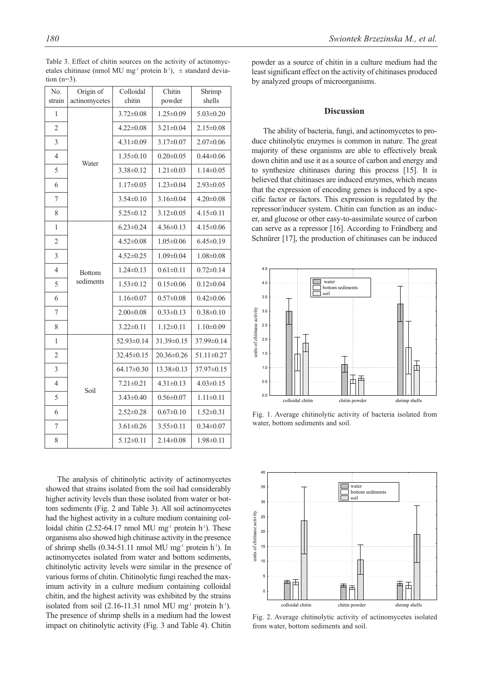The analysis of chitinolytic activity of actinomycetes showed that strains isolated from the soil had considerably higher activity levels than those isolated from water or bottom sediments (Fig. 2 and Table 3). All soil actinomycetes had the highest activity in a culture medium containing colloidal chitin (2.52-64.17 nmol MU mg<sup>-1</sup> protein h<sup>-1</sup>). These organisms also showed high chitinase activity in the presence of shrimp shells  $(0.34-51.11 \text{ nmol MU mg}^{-1}$  protein h<sup>-1</sup>). In actinomycetes isolated from water and bottom sediments, chitinolytic activity levels were similar in the presence of various forms of chitin. Chitinolytic fungi reached the maximum activity in a culture medium containing colloidal chitin, and the highest activity was exhibited by the strains isolated from soil  $(2.16-11.31 \text{ mmol MU mg}^{-1}$  protein h<sup>-1</sup>). The presence of shrimp shells in a medium had the lowest impact on chitinolytic activity (Fig. 3 and Table 4). Chitin

powder as a source of chitin in a culture medium had the least significant effect on the activity of chitinases produced by analyzed groups of microorganisms.

#### **Discussion**

The ability of bacteria, fungi, and actinomycetes to produce chitinolytic enzymes is common in nature. The great majority of these organisms are able to effectively break down chitin and use it as a source of carbon and energy and to synthesize chitinases during this process [15]. It is believed that chitinases are induced enzymes, which means that the expression of encoding genes is induced by a specific factor or factors. This expression is regulated by the repressor/inducer system. Chitin can function as an inducer, and glucose or other easy-to-assimilate source of carbon can serve as a repressor [16]. According to Frändberg and Schnürer [17], the production of chitinases can be induced



Fig. 1. Average chitinolytic activity of bacteria isolated from water, bottom sediments and soil.



Fig. 2. Average chitinolytic activity of actinomycetes isolated from water, bottom sediments and soil.

 $|4.22\pm0.08|3.21\pm0.04|2.15\pm0.08$  $\vert$  4.31 $\pm$ 0.09  $\vert$  3.17 $\pm$ 0.07  $\vert$  2.07 $\pm$ 0.06  $1.35\pm0.10$   $0.20\pm0.05$   $0.44\pm0.06$  3.38±0.12 1.21±0.03 1.14±0.05 6 1.17 $\pm$ 0.05 1.23 $\pm$ 0.04 2.93 $\pm$ 0.05 | 3.54 $\pm$ 0.10 | 3.16 $\pm$ 0.04 | 4.20 $\pm$ 0.08 8 | 5.25±0.12 | 3.12±0.05 | 4.15±0.11

 $|$  4.52 $\pm$ 0.08  $|$  1.05 $\pm$ 0.06  $|$  6.45 $\pm$ 0.19  $\vert$  4.52±0.25 1.09±0.04 1.08±0.08 1.24±0.13 0.61±0.11 0.72±0.14 5 | sediments  $1.53\pm0.12$  |  $0.15\pm0.06$  |  $0.12\pm0.04$ 6 1.16 $\pm$ 0.07 0.57 $\pm$ 0.08 0.42 $\pm$ 0.06 | 2.00 $\pm$ 0.08 | 0.33 $\pm$ 0.13 | 0.38 $\pm$ 0.10  $3.22\pm0.11$   $1.12\pm0.11$   $1.10\pm0.09$ 

 $|32.45\pm0.15|20.36\pm0.26|51.11\pm0.27$  $\vert$  64.17±0.30 13.38±0.13 37.97±0.15 4 | 7.21 $\pm$ 0.21 | 4.31 $\pm$ 0.13 | 4.03 $\pm$ 0.15  $3.43\pm0.40$   $0.56\pm0.07$  1.11 $\pm0.11$ 6 2.52 $\pm$ 0.28 0.67 $\pm$ 0.10 1.52 $\pm$ 0.31 3.61 $\pm$ 0.26 3.55 $\pm$ 0.11 0.34 $\pm$ 0.07  $\vert$  5.12 $\pm$ 0.11  $\vert$  2.14 $\pm$ 0.08  $\vert$  1.98 $\pm$ 0.11

Chitin powder

 $3.72\pm0.08$  1.25 $\pm0.09$  5.03 $\pm0.20$ 

 $6.23\pm0.24$  4.36 $\pm$ 0.13 4.15 $\pm$ 0.06

52.93±0.14 31.39±0.15 37.99±0.14

Shrimp shells

Colloidal chitin

No. strain

1

1

1

Origin of actinomycetes

Water

Bottom sediments

Soil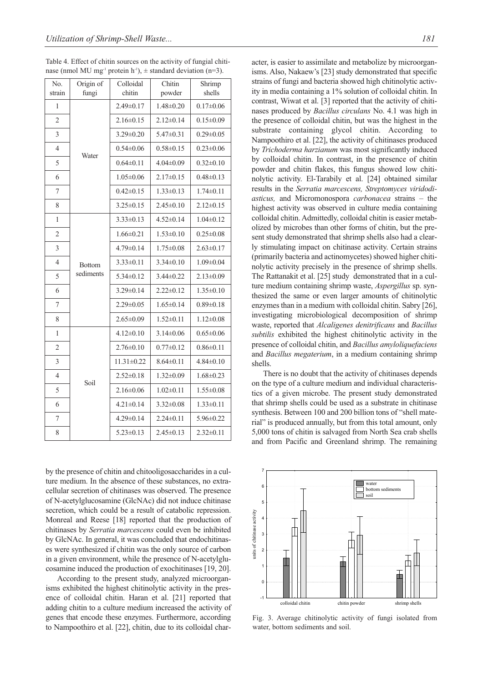| Table 4. Effect of chitin sources on the activity of fungial chiti-                       |  |
|-------------------------------------------------------------------------------------------|--|
| nase (nmol MU mg <sup>-1</sup> protein h <sup>-1</sup> ), $\pm$ standard deviation (n=3). |  |

| No.<br>strain  | Origin of<br>fungi         | Colloidal<br>chitin | Chitin<br>powder | Shrimp<br>shells |
|----------------|----------------------------|---------------------|------------------|------------------|
| 1              | Water                      | $2.49 \pm 0.17$     | $1.48 \pm 0.20$  | $0.17 \pm 0.06$  |
| $\overline{2}$ |                            | $2.16 \pm 0.15$     | $2.12 \pm 0.14$  | $0.15 \pm 0.09$  |
| 3              |                            | $3.29 \pm 0.20$     | $5.47 \pm 0.31$  | $0.29 \pm 0.05$  |
| $\overline{4}$ |                            | $0.54 \pm 0.06$     | $0.58 \pm 0.15$  | $0.23 \pm 0.06$  |
| 5              |                            | $0.64 \pm 0.11$     | $4.04 \pm 0.09$  | $0.32 \pm 0.10$  |
| 6              |                            | $1.05 \pm 0.06$     | $2.17\pm0.15$    | $0.48 \pm 0.13$  |
| 7              |                            | $0.42 \pm 0.15$     | $1.33 \pm 0.13$  | $1.74 \pm 0.11$  |
| 8              |                            | $3.25 \pm 0.15$     | $2.45 \pm 0.10$  | $2.12 \pm 0.15$  |
| 1              | <b>Bottom</b><br>sediments | $3.33 \pm 0.13$     | $4.52 \pm 0.14$  | $1.04 \pm 0.12$  |
| $\overline{2}$ |                            | $1.66 \pm 0.21$     | $1.53 \pm 0.10$  | $0.25 \pm 0.08$  |
| 3              |                            | $4.79 \pm 0.14$     | $1.75 \pm 0.08$  | $2.63 \pm 0.17$  |
| $\overline{4}$ |                            | $3.33\pm0.11$       | $3.34\pm0.10$    | $1.09 \pm 0.04$  |
| 5              |                            | $5.34 \pm 0.12$     | $3.44 \pm 0.22$  | $2.13 \pm 0.09$  |
| 6              |                            | $3.29 \pm 0.14$     | $2.22 \pm 0.12$  | $1.35 \pm 0.10$  |
| 7              |                            | $2.29 \pm 0.05$     | $1.65 \pm 0.14$  | $0.89 \pm 0.18$  |
| 8              |                            | $2.65 \pm 0.09$     | $1.52 \pm 0.11$  | $1.12 \pm 0.08$  |
| 1              |                            | $4.12 \pm 0.10$     | $3.14 \pm 0.06$  | $0.65 \pm 0.06$  |
| $\overline{2}$ | Soil                       | $2.76 \pm 0.10$     | $0.77 \pm 0.12$  | $0.86 \pm 0.11$  |
| 3              |                            | $11.31 \pm 0.22$    | $8.64 \pm 0.11$  | $4.84 \pm 0.10$  |
| $\overline{4}$ |                            | $2.52 \pm 0.18$     | $1.32 \pm 0.09$  | $1.68 \pm 0.23$  |
| 5              |                            | $2.16 \pm 0.06$     | $1.02 \pm 0.11$  | $1.55 \pm 0.08$  |
| 6              |                            | $4.21 \pm 0.14$     | $3.32 \pm 0.08$  | $1.33 \pm 0.11$  |
| 7              |                            | $4.29 \pm 0.14$     | $2.24 \pm 0.11$  | 5.96±0.22        |
| 8              |                            | $5.23 \pm 0.13$     | $2.45 \pm 0.13$  | 2.32±0.11        |

by the presence of chitin and chitooligosaccharides in a culture medium. In the absence of these substances, no extracellular secretion of chitinases was observed. The presence of N-acetylglucosamine (GlcNAc) did not induce chitinase secretion, which could be a result of catabolic repression. Monreal and Reese [18] reported that the production of chitinases by *Serratia marcescens* could even be inhibited by GlcNAc. In general, it was concluded that endochitinases were synthesized if chitin was the only source of carbon in a given environment, while the presence of N-acetylglucosamine induced the production of exochitinases [19, 20].

According to the present study, analyzed microorganisms exhibited the highest chitinolytic activity in the presence of colloidal chitin. Haran et al. [21] reported that adding chitin to a culture medium increased the activity of genes that encode these enzymes. Furthermore, according to Nampoothiro et al. [22], chitin, due to its colloidal character, is easier to assimilate and metabolize by microorganisms. Also, Nakaew's [23] study demonstrated that specific strains of fungi and bacteria showed high chitinolytic activity in media containing a 1% solution of colloidal chitin. In contrast, Wiwat et al. [3] reported that the activity of chitinases produced by *Bacillus circulans* No. 4.1 was high in the presence of colloidal chitin, but was the highest in the substrate containing glycol chitin. According to Nampoothiro et al. [22], the activity of chitinases produced by *Trichoderma harzianum* was most significantly induced by colloidal chitin. In contrast, in the presence of chitin powder and chitin flakes, this fungus showed low chitinolytic activity. El-Tarabily et al. [24] obtained similar results in the *Serratia marcescens, Streptomyces viridodiasticus,* and Micromonospora *carbonacea* strains – the highest activity was observed in culture media containing colloidal chitin. Admittedly, colloidal chitin is easier metabolized by microbes than other forms of chitin, but the present study demonstrated that shrimp shells also had a clearly stimulating impact on chitinase activity. Certain strains (primarily bacteria and actinomycetes) showed higher chitinolytic activity precisely in the presence of shrimp shells. The Rattanakit et al. [25] study demonstrated that in a culture medium containing shrimp waste, *Aspergillus* sp. synthesized the same or even larger amounts of chitinolytic enzymes than in a medium with colloidal chitin. Sabry [26], investigating microbiological decomposition of shrimp waste, reported that *Alcaligenes denitrificans* and *Bacillus subtilis* exhibited the highest chitinolytic activity in the presence of colloidal chitin, and *Bacillus amyloliquefaciens* and *Bacillus megaterium*, in a medium containing shrimp shells.

There is no doubt that the activity of chitinases depends on the type of a culture medium and individual characteristics of a given microbe. The present study demonstrated that shrimp shells could be used as a substrate in chitinase synthesis. Between 100 and 200 billion tons of "shell material" is produced annually, but from this total amount, only 5,000 tons of chitin is salvaged from North Sea crab shells and from Pacific and Greenland shrimp. The remaining



Fig. 3. Average chitinolytic activity of fungi isolated from water, bottom sediments and soil.